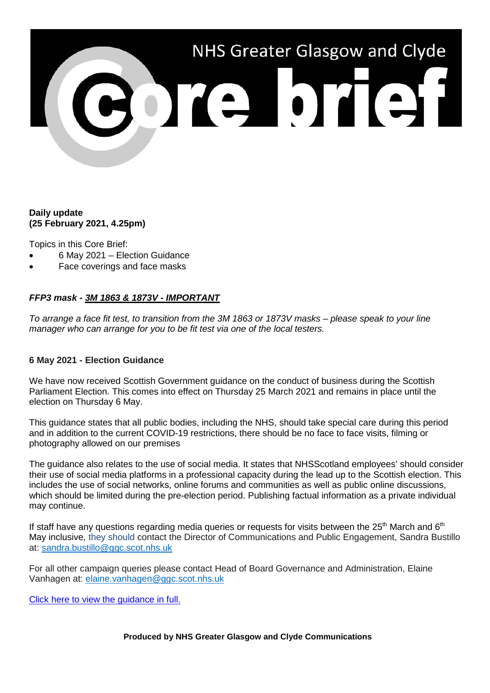

# **Daily update (25 February 2021, 4.25pm)**

Topics in this Core Brief:

- 6 May 2021 Election Guidance
- Face coverings and face masks

# *FFP3 mask - 3M 1863 & 1873V - IMPORTANT*

*To arrange a face fit test, to transition from the 3M 1863 or 1873V masks – please speak to your line manager who can arrange for you to be fit test via one of the local testers.*

## **6 May 2021 - Election Guidance**

We have now received Scottish Government guidance on the conduct of business during the Scottish Parliament Election. This comes into effect on Thursday 25 March 2021 and remains in place until the election on Thursday 6 May.

This guidance states that all public bodies, including the NHS, should take special care during this period and in addition to the current COVID-19 restrictions, there should be no face to face visits, filming or photography allowed on our premises

The guidance also relates to the use of social media. It states that NHSScotland employees' should consider their use of social media platforms in a professional capacity during the lead up to the Scottish election. This includes the use of social networks, online forums and communities as well as public online discussions, which should be limited during the pre-election period. Publishing factual information as a private individual may continue.

If staff have any questions regarding media queries or requests for visits between the  $25<sup>th</sup>$  March and  $6<sup>th</sup>$ May inclusive, they should contact the Director of Communications and Public Engagement, Sandra Bustillo at: [sandra.bustillo@ggc.scot.nhs.uk](mailto:sandra.bustillo@ggc.scot.nhs.uk)

For all other campaign queries please contact Head of Board Governance and Administration, Elaine Vanhagen at: [elaine.vanhagen@ggc.scot.nhs.uk](mailto:elaine.vanhagen@ggc.scot.nhs.uk)

[Click here to view the guidance in full.](https://www.gov.scot/publications/scottish-parliament-election-6-2021-guidance-scottish-government-agencies-national-devolved-public-bodies/)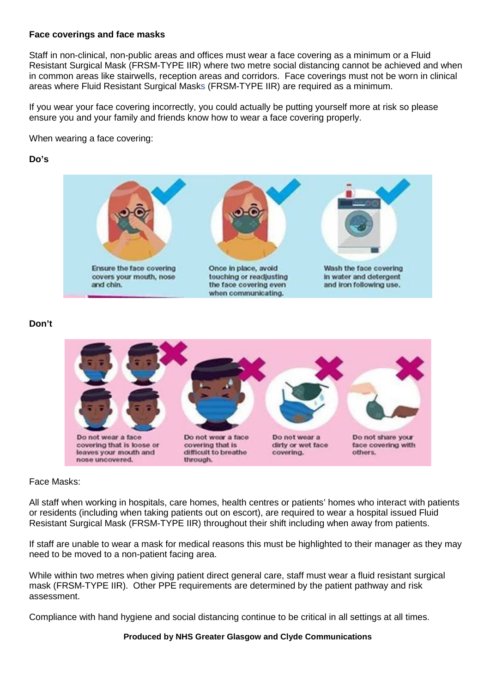### **Face coverings and face masks**

Staff in non-clinical, non-public areas and offices must wear a face covering as a minimum or a Fluid Resistant Surgical Mask (FRSM-TYPE IIR) where two metre social distancing cannot be achieved and when in common areas like stairwells, reception areas and corridors. Face coverings must not be worn in clinical areas where Fluid Resistant Surgical Masks (FRSM-TYPE IIR) are required as a minimum.

If you wear your face covering incorrectly, you could actually be putting yourself more at risk so please ensure you and your family and friends know how to wear a face covering properly.

When wearing a face covering:

### **Do's**



## **Don't**



### Face Masks:

All staff when working in hospitals, care homes, health centres or patients' homes who interact with patients or residents (including when taking patients out on escort), are required to wear a hospital issued Fluid Resistant Surgical Mask (FRSM-TYPE IIR) throughout their shift including when away from patients.

If staff are unable to wear a mask for medical reasons this must be highlighted to their manager as they may need to be moved to a non-patient facing area.

While within two metres when giving patient direct general care, staff must wear a fluid resistant surgical mask (FRSM-TYPE IIR). Other PPE requirements are determined by the patient pathway and risk assessment.

Compliance with hand hygiene and social distancing continue to be critical in all settings at all times.

#### **Produced by NHS Greater Glasgow and Clyde Communications**